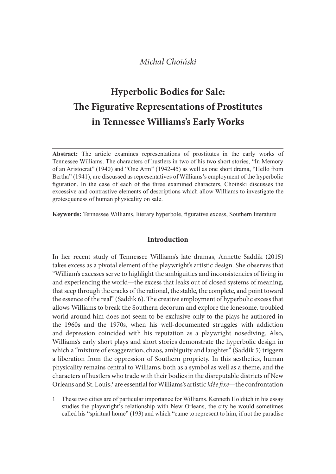# Hyperbolic Bodies for Sale: The Figurative Representations of Prostitutes in Tennessee Williams's Early Works

Abstract: The article examines representations of prostitutes in the early works of Tennessee Williams. The characters of hustlers in two of his two short stories, "In Memory of an Aristocrat" (1940) and "One Arm" (1942-45) as well as one short drama, "Hello from Bertha" (1941), are discussed as representatives of Williams's employment of the hyperbolic figuration. In the case of each of the three examined characters, Choiński discusses the excessive and contrastive elements of descriptions which allow Williams to investigate the grotes queness of human physicality on sale.

Keywords: Tennessee Williams, literary hyperbole, figurative excess, Southern literature

## Introduction

In her recent study of Tennessee Williams's late dramas, Annette Saddik (2015) takes excess as a pivotal element of the playwright's artistic design. She observes that "William's excesses serve to highlight the ambiguities and inconsistencies of living in and experiencing the world—the excess that leaks out of closed systems of meaning, that seep through the cracks of the rational, the stable, the complete, and point toward the essence of the real" (Saddik 6). The creative employment of hyperbolic excess that allows Williams to break the Southern decorum and explore the lonesome, troubled world around him does not seem to be exclusive only to the plays he authored in the 1960s and the 1970s, when his well-documented struggles with addiction and depression coincided with his reputation as a playwright nosediving. Also, Williams's early short plays and short stories demonstrate the hyperbolic design in which a "mixture of exaggeration, chaos, ambiguity and laughter" (Saddik 5) triggers a liberation from the oppression of Southern propriety. In this aesthetics, human physicality remains central to Williams, both as a symbol as well as a theme, and the characters of hustlers who trade with their bodies in the disreputable districts of New Orleans and St. Louis,<sup>1</sup> are essential for Williams's artistic *idée fixe*—the confrontation SCACLESS as a protoal cunter (or the paying a strated cuspin, an obset ves traces of living in experiencing the world—the excess that leaks out of closed systems of meaning, lexperiencing the world—the excess that leaks o

<sup>1</sup> These two cities are of particular importance for Williams. Kenneth Holditch in his essay called his "spiritual home" (193) and which "came to represent to him, if not the paradise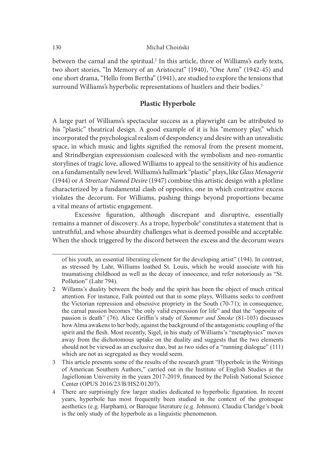between the carnal and the spiritual.2 In this article, three of Williams's early texts, two short stories, "In Memory of an Aristocrat" (1940), "One Arm" (1942-45) and one short drama, "Hello from Bertha" (1941), are studied to explore the tensions that surround Williams's hyperbolic representations of hustlers and their bodies.<sup>3</sup>

## Plastic Hyperbole

A large part of Williams's spectacular success as a playwright can be attributed to his "plastic" theatrical design. A good example of it is his "memory play," which incorporated the psychological realism of despondency and desire with an unrealistic space, in which music and lights signified the removal from the present moment, and Strindbergian expressionism coalesced with the symbolism and neo-romantic storylines of tragic love, allowed Williams to appeal to the sensitivity of his audience on a fundamentally new level. Williams's hallmark "plastic" plays, like Glass Menagerie (1944) or A Streetcar Named Desire (1947) combine this artistic design with a plotline characterized by a fundamental clash of opposites, one in which contrastive excess violates the decorum. For Williams, pushing things beyond proportions became a vital means of artistic engagement. "plastic" theatrical design. A good example of it is his "nemory play," which<br>or prorated the psychological realism of despondency and desire with an unrealistic<br>ce, in which music and lights signified the removal from the

Excessive figuration, although discrepant and disruptive, essentially remains a manner of discovery. As a trope, hyperbole<sup>4</sup> constitutes a statement that is untruthful, and whose absurdity challenges what is deemed possible and acceptable. When the shock triggered by the discord between the excess and the decorum wears

of his youth, an essential liberating element for the developing artist" (194). In contrast, traumatising childhood as well as the decay of innocence, and refer notoriously as "St. Pollution" (Lahr 794).

<sup>2</sup> Willams's duality between the body and the spirit has been the object of much critical attention. For instance, Falk pointed out that in some plays, Williams seeks to confront the Victorian repression and obsessive propriety in the South (70-71); in consequence, the carnal passion becomes "the only valid expression for life" and that the "opposite of passion is death" (76). Alice Griffin's study of *Summer and Smoke* (81-103) discusses how Alma awakens to her body, against the background of the antagonistic coupling of the spirit and the flesh. Most recently, Sigel, in his study of Williams's "metaphysics" moves Let the mean of discovery. As a trop-by-period of the means of artistic engagement,<br>
Excessive figuration, although discrepant and disruptive, essentially<br>
interactions a manner of discovery. As a trop-b, hyperbole<sup>4</sup> con should not be viewed as an exclusive duo, but as two sides of a "running dialogue" (111) which are not as segregated as they would seem. of his youth, an essential liberating element for the developing artist" (194). In contrast, as stressed by Lahr, Williams loathed St. Louis, which he would associate with his taumatising childhood as well as the decay of of in syourin, an essential interating element for the developing arrist (194). In contrast, the bustlemanising childhood as well as the decay of innocence, and refer notoriously as "St. traumationing childhood as well as

<sup>3</sup> This article presents some of the results of the research grant "Hyperbole in the Writings" of American Southern Authors," carried out in the Institute of English Studies at the Jagiellonian University in the years 2017-2019, financed by the Polish National Science Center (OPUS 2016/23/B/HS2/01207).

aesthetics (e.g. Harpham), or Baroque literature (e.g. Johnson). Claudia Claridge's book is the only study of the hyperbole as a linguistic phenomenon.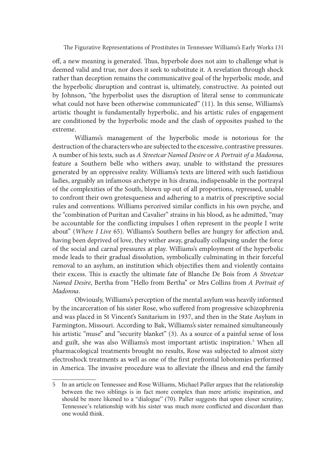off, a new meaning is generated. Thus, hyperbole does not aim to challenge what is deemed valid and true, nor does it seek to substitute it. A revelation through shock rather than deception remains the communicative goal of the hyperbolic mode, and the hyperbolic disruption and contrast is, ultimately, constructive. As pointed out by Johnson, "the hyperbolist uses the disruption of literal sense to communicate what could not have been otherwise communicated" (11). In this sense, Williams's artistic thought is fundamentally hyperbolic, and his artistic rules of engagement are conditioned by the hyperbolic mode and the clash of opposites pushed to the extreme.

Williams's management of the hyperbolic mode is notorious for the destruction of the characters who are subjected to the excessive, contrastive pressures. A number of his texts, such as A Streetcar Named Desire or A Portrait of a Madonna, feature a Southern belle who withers away, unable to withstand the pressures generated by an oppressive reality. Williams's texts are littered with such fastidious ladies, arguably an infamous archetype in his drama, indispensable in the portrayal of the complexities of the South, blown up out of all proportions, repressed, unable to confront their own grotesqueness and adhering to a matrix of prescriptive social rules and conventions. Williams perceived similar conflicts in his own psyche, and the "combination of Puritan and Cavalier" strains in his blood, as he admitted, "may be accountable for the conflicting impulses I often represent in the people I write about" (Where I Live 65). Williams's Southern belles are hungry for affection and, having been deprived of love, they wither away, gradually collapsing under the force of the social and carnal pressures at play. Williams's employment of the hyperbolic mode leads to their gradual dissolution, symbolically culminating in their forceful removal to an asylum, an institution which objectifies them and violently contains their excess. This is exactly the ultimate fate of Blanche De Bois from A Streetcar Named Desire, Bertha from "Hello from Bertha" or Mrs Collins from A Portrait of Madonna.

Obviously, Williams's perception of the mental asylum was heavily informed by the incarceration of his sister Rose, who suffered from progressive schizophrenia and was placed in St Vincent's Sanitarium in 1937, and then in the State Asylum in Farmington, Missouri. According to Bak, Williams's sister remained simultaneously his artistic "muse" and "security blanket" (3). As a source of a painful sense of loss and guilt, she was also Williams's most important artistic inspiration.5 When all pharmacological treatments brought no results, Rose was subjected to almost sixty electroshock treatments as well as one of the first prefrontal lobotomies performed in America. The invasive procedure was to alleviate the illness and end the family de leads to their gradual dissolution, symbolically culminating in their forceful<br>oroval to an asylum, an institution which objectifies them and violently contains<br>ir excess. This is exactly the ultimate fate of Blanche De

<sup>5</sup> In an article on Tennessee and Rose Williams, Michael Paller argues that the relationship between the two siblings is in fact more complex than mere artistic inspiration, and should be more likened to a "dialogue" (70). Paller suggests that upon closer scrutiny, Tennessee's relationship with his sister was much more conflicted and discordant than one would think.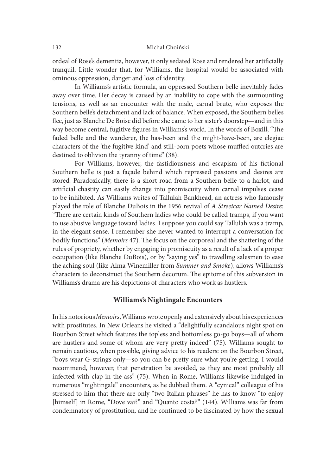ordeal of Rose's dementia, however, it only sedated Rose and rendered her artificially tranquil. Little wonder that, for Williams, the hospital would be associated with ominous oppression, danger and loss of identity.

In Williams's artistic formula, an oppressed Southern belle inevitably fades away over time. Her decay is caused by an inability to cope with the surmounting tensions, as well as an encounter with the male, carnal brute, who exposes the Southern belle's detachment and lack of balance. When exposed, the Southern belles flee, just as Blanche De Boise did before she came to her sister's doorstep—and in this way become central, fugitive figures in Williams's world. In the words of Boxill, "The faded belle and the wanderer, the has-been and the might-have-been, are elegiac characters of the 'the fugitive kind' and still-born poets whose muffled outcries are destined to oblivion the tyranny of time" (38).

For Williams, however, the fastidiousness and escapism of his fictional Southern belle is just a façade behind which repressed passions and desires are stored. Paradoxically, there is a short road from a Southern belle to a harlot, and artificial chastity can easily change into promiscuity when carnal impulses cease to be inhibited. As Williams writes of Tallulah Bankhead, an actress who famously played the role of Blanche DuBois in the 1956 revival of A Streetcar Named Desire: "There are certain kinds of Southern ladies who could be called tramps, if you want to use abusive language toward ladies. I suppose you could say Tallulah was a tramp, in the elegant sense. I remember she never wanted to interrupt a conversation for bodily functions" (Memoirs 47). The focus on the corporeal and the shattering of the rules of propriety, whether by engaging in promiscuity as a result of a lack of a proper occupation (like Blanche DuBois), or by "saying yes" to travelling salesmen to ease the aching soul (like Alma Winemiller from Summer and Smoke), allows Williams's characters to deconstruct the Southern decorum. The epitome of this subversion in Williams's drama are his depictions of characters who work as hustlers.

### Williams's Nightingale Encounters

In his notorious Memoirs, Williams wrote openly and extensively about his experiences with prostitutes. In New Orleans he visited a "delightfully scandalous night spot on Bourbon Street which features the topless and bottomless go-go boys—all of whom are hustlers and some of whom are very pretty indeed" (75). Williams sought to remain cautious, when possible, giving advice to his readers: on the Bourbon Street, "boys wear G-strings only—so you can be pretty sure what you're getting. I would recommend, however, that penetration be avoided, as they are most probably all infected with clap in the ass" (75). When in Rome, Williams likewise indulged in numerous "nightingale" encounters, as he dubbed them. A "cynical" colleague of his stressed to him that there are only "two Italian phrases" he has to know "to enjoy [himself] in Rome, "Dove vai?" and "Quanto costa?" (144). Williams was far from condemnatory of prostitution, and he continued to be fascinated by how the sexual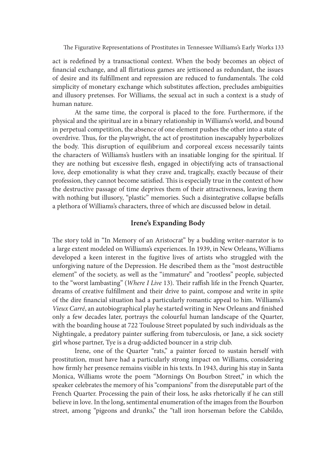act is redefined by a transactional context. When the body becomes an object of financial exchange, and all flirtatious games are jettisoned as redundant, the issues of desire and its fulfillment and repression are reduced to fundamentals. The cold simplicity of monetary exchange which substitutes affection, precludes ambiguities and illusory pretenses. For Williams, the sexual act in such a context is a study of human nature.

At the same time, the corporal is placed to the fore. Furthermore, if the physical and the spiritual are in a binary relationship in Williams's world, and bound in perpetual competition, the absence of one element pushes the other into a state of overdrive. Thus, for the playwright, the act of prostitution inescapably hyperbolizes the body. This disruption of equilibrium and corporeal excess necessarily taints the characters of Williams's hustlers with an insatiable longing for the spiritual. If they are nothing but excessive flesh, engaged in objectifying acts of transactional love, deep emotionality is what they crave and, tragically, exactly because of their profession, they cannot become satisfied. This is especially true in the context of how the destructive passage of time deprives them of their attractiveness, leaving them with nothing but illusory, "plastic" memories. Such a disintegrative collapse befalls a plethora of Williams's characters, three of which are discussed below in detail.

## Irene's Expanding Body

The story told in "In Memory of an Aristocrat" by a budding writer-narrator is to a large extent modeled on Williams's experiences. In 1939, in New Orleans, Williams developed a keen interest in the fugitive lives of artists who struggled with the unforgiving nature of the Depression. He described them as the "most destructible element" of the society, as well as the "immature" and "rootless" people, subjected to the "worst lambasting" (Where I Live 13). Their raffish life in the French Quarter, dreams of creative fulfillment and their drive to paint, compose and write in spite of the dire financial situation had a particularly romantic appeal to him. Williams's Vieux Carré, an autobiographical play he started writing in New Orleans and finished only a few decades later, portrays the colourful human landscape of the Quarter, with the boarding house at 722 Toulouse Street populated by such individuals as the Nightingale, a predatory painter suffering from tuberculosis, or Jane, a sick society girl whose partner, Tye is a drug-addicted bouncer in a strip club.

Irene, one of the Quarter "rats," a painter forced to sustain herself with prostitution, must have had a particularly strong impact on Williams, considering how firmly her presence remains visible in his texts. In 1943, during his stay in Santa Monica, Williams wrote the poem "Mornings On Bourbon Street," in which the speaker celebrates the memory of his "companions" from the disreputable part of the French Quarter. Processing the pain of their loss, he asks rhetorically if he can still believe in love. In the long, sentimental enumeration of the images from the Bourbon street, among "pigeons and drunks," the "tall iron horseman before the Cabildo,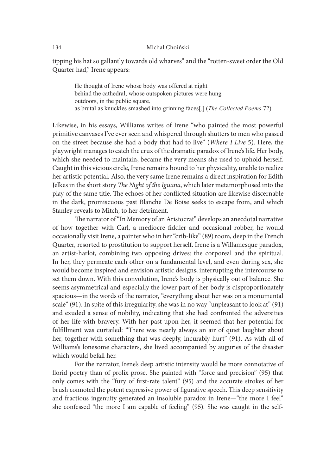tipping his hat so gallantly towards old wharves" and the "rotten-sweet order the Old Quarter had," Irene appears:

He thought of Irene whose body was offered at night behind the cathedral, whose outspoken pictures were hung outdoors, in the public square, as brutal as knuckles smashed into grinning faces[.] (The Collected Poems 72)

Likewise, in his essays, Williams writes of Irene "who painted the most powerful primitive canvases I've ever seen and whispered through shutters to men who passed on the street because she had a body that had to live" (Where I Live 5). Here, the playwright manages to catch the crux of the dramatic paradox of Irene's life. Her body, which she needed to maintain, became the very means she used to uphold herself. Caught in this vicious circle, Irene remains bound to her physicality, unable to realize her artistic potential. Also, the very same Irene remains a direct inspiration for Edith Jelkes in the short story The Night of the Iguana, which later metamorphosed into the play of the same title. The echoes of her conflicted situation are likewise discernable in the dark, promiscuous past Blanche De Boise seeks to escape from, and which Stanley reveals to Mitch, to her detriment.

The narrator of "In Memory of an Aristocrat" develops an anecdotal narrative of how together with Carl, a mediocre fiddler and occasional robber, he would occasionally visit Irene, a painter who in her "crib-like" (89) room, deep in the French Quarter, resorted to prostitution to support herself. Irene is a Willamesque paradox, an artist-harlot, combining two opposing drives: the corporeal and the spiritual. In her, they permeate each other on a fundamental level, and even during sex, she would become inspired and envision artistic designs, interrupting the intercourse to set them down. With this convolution, Irene's body is physically out of balance. She seems asymmetrical and especially the lower part of her body is disproportionately spacious—in the words of the narrator, "everything about her was on a monumental scale" (91). In spite of this irregularity, she was in no way "unpleasant to look at" (91) and exuded a sense of nobility, indicating that she had confronted the adversities of her life with bravery. With her past upon her, it seemed that her potential for fulfillment was curtailed: "There was nearly always an air of quiet laughter about her, together with something that was deeply, incurably hurt" (91). As with all of Williams's lonesome characters, she lived accompanied by auguries of the disaster which would befall her.

For the narrator, Irene's deep artistic intensity would be more connotative of florid poetry than of prolix prose. She painted with "force and precision" (95) that only comes with the "fury of first-rate talent" (95) and the accurate strokes of her brush connoted the potent expressive power of figurative speech. This deep sensitivity and fractious ingenuity generated an insoluble paradox in Irene—"the more I feel" she confessed "the more I am capable of feeling" (95). She was caught in the self-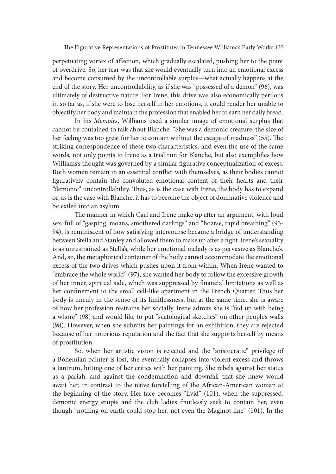perpetuating vortex of affection, which gradually escalated, pushing her to the point of overdrive. So, her fear was that she would eventually turn into an emotional excess and become consumed by the uncontrollable surplus—what actually happens at the end of the story. Her uncontrollability, as if she was "possessed of a demon" (96), was ultimately of destructive nature. For Irene, this drive was also economically perilous in so far as, if she were to lose herself in her emotions, it could render her unable to objectify her body and maintain the profession that enabled her to earn her daily bread.

In his Memoirs, Williams used a similar image of emotional surplus that cannot be contained to talk about Blanche: "She was a demonic creature, the size of her feeling was too great for her to contain without the escape of madness" (55). The striking correspondence of these two characteristics, and even the use of the same words, not only points to Irene as a trial run for Blanche, but also exemplifies how Williams's thought was governed by a similar figurative conceptualization of excess. Both women remain in an essential conflict with themselves, as their bodies cannot figuratively contain the convoluted emotional content of their hearts and their "demonic" uncontrollability. Thus, as is the case with Irene, the body has to expand or, as is the case with Blanche, it has to become the object of dominative violence and be exiled into an asylum.

The manner in which Carl and Irene make up after an argument, with loud sex, full of "gasping, moans, smothered darlings" and "hoarse, rapid breathing" (93- 94), is reminiscent of how satisfying intercourse became a bridge of understanding between Stella and Stanley and allowed them to make up after a fight. Irene's sexuality is as unrestrained as Stella's, while her emotional malady is as pervasive as Blanche's. And, so, the metaphorical container of the body cannot accommodate the emotional excess of the two drives which pushes upon it from within. When Irene wanted to "embrace the whole world" (97), she wanted her body to follow the excessive growth of her inner, spiritual side, which was suppressed by financial limitations as well as her confinement to the small cell-like apartment in the French Quarter. Thus her body is unruly in the sense of its limitlessness, but at the same time, she is aware of how her profession restrains her socially. Irene admits she is "fed up with being a whore" (98) and would like to put "scatological sketches" on other people's walls (98). However, when she submits her paintings for an exhibition, they are rejected because of her notorious reputation and the fact that she supports herself by means of prostitution.

So, when her artistic vision is rejected and the "aristocratic" privilege of a Bohemian painter is lost, she eventually collapses into violent excess and throws a tantrum, hitting one of her critics with her painting. She rebels against her status as a pariah, and against the condemnation and downfall that she knew would await her, in contrast to the naïve foretelling of the African-American woman at the beginning of the story. Her face becomes "livid" (101), when the suppressed, demonic energy erupts and the club ladies fruitlessly seek to contain her, even though "nothing on earth could stop her, not even the Maginot line" (101). In the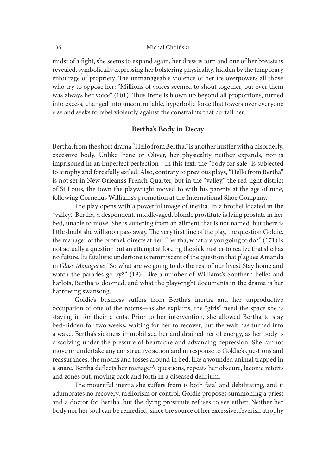midst of a fight, she seems to expand again, her dress is torn and one of her breasts is revealed, symbolically expressing her bolstering physicality, hidden by the temporary entourage of propriety. The unmanageable violence of her ire overpowers all those who try to oppose her: "Millions of voices seemed to shout together, but over them was always her voice" (101). Thus Irene is blown up beyond all proportions, turned into excess, changed into uncontrollable, hyperbolic force that towers over everyone else and seeks to rebel violently against the constraints that curtail her.

## Bertha's Body in Decay

Bertha, from the short drama "Hello from Bertha," is another hustler with a disorderly, excessive body. Unlike Irene or Oliver, her physicality neither expands, nor is imprisoned in an imperfect perfection—in this text, the "body for sale" is subjected to atrophy and forcefully exiled. Also, contrary to previous plays, "Hello from Bertha" is not set in New Orleans's French Quarter, but in the "valley," the red-light district of St Louis, the town the playwright moved to with his parents at the age of nine, following Cornelius Williams's promotion at the International Shoe Company.

The play opens with a powerful image of inertia. In a brothel located in the "valley," Bertha, a despondent, middle-aged, blonde prostitute is lying prostate in her bed, unable to move. She is suffering from an ailment that is not named, but there is little doubt she will soon pass away. The very first line of the play, the question Goldie, the manager of the brothel, directs at her: "Bertha, what are you going to do?" (171) is not actually a question but an attempt at forcing the sick hustler to realize that she has no future. Its fatalistic undertone is reminiscent of the question that plagues Amanda in Glass Menagerie: "So what are we going to do the rest of our lives? Stay home and watch the parades go by?" (18). Like a number of Williams's Southern belles and harlots, Bertha is doomed, and what the playwright documents in the drama is her harrowing swansong.

Goldie's business suffers from Bertha's inertia and her unproductive occupation of one of the rooms—as she explains, the "girls" need the space she is staying in for their clients. Prior to her intervention, she allowed Bertha to stay bed-ridden for two weeks, waiting for her to recover, but the wait has turned into a wake. Bertha's sickness immobilised her and drained her of energy, as her body is dissolving under the pressure of heartache and advancing depression. She cannot move or undertake any constructive action and in response to Goldie's questions and reassurances, she moans and tosses around in bed, like a wounded animal trapped in a snare. Bertha deflects her manager's questions, repeats her obscure, laconic retorts and zones out, moving back and forth in a diseased delirium.

The mournful inertia she suffers from is both fatal and debilitating, and it adumbrates no recovery, meliorism or control. Goldie proposes summoning a priest and a doctor for Bertha, but the dying prostitute refuses to see either. Neither her body nor her soul can be remedied, since the source of her excessive, feverish atrophy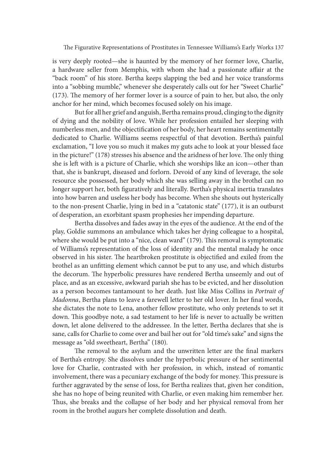is very deeply rooted—she is haunted by the memory of her former love, Charlie, a hardware seller from Memphis, with whom she had a passionate affair at the "back room" of his store. Bertha keeps slapping the bed and her voice transforms into a "sobbing mumble," whenever she desperately calls out for her "Sweet Charlie"  $(173)$ . The memory of her former lover is a source of pain to her, but also, the only anchor for her mind, which becomes focused solely on his image.

But for all her grief and anguish, Bertha remains proud, clinging to the dignity of dying and the nobility of love. While her profession entailed her sleeping with numberless men, and the objectification of her body, her heart remains sentimentally dedicated to Charlie. Williams seems respectful of that devotion. Bertha's painful exclamation, "I love you so much it makes my guts ache to look at your blessed face in the picture!"  $(178)$  stresses his absence and the aridness of her love. The only thing she is left with is a picture of Charlie, which she worships like an icon—other than that, she is bankrupt, diseased and forlorn. Devoid of any kind of leverage, the sole resource she possessed, her body which she was selling away in the brothel can no longer support her, both figuratively and literally. Bertha's physical inertia translates into how barren and useless her body has become. When she shouts out hysterically to the non-present Charlie, lying in bed in a "catatonic state" (177), it is an outburst of desperation, an exorbitant spasm prophesies her impending departure.

Bertha dissolves and fades away in the eyes of the audience. At the end of the play, Goldie summons an ambulance which takes her dying colleague to a hospital, where she would be put into a "nice, clean ward" (179). This removal is symptomatic of Williams's representation of the loss of identity and the mental malady he once observed in his sister. The heartbroken prostitute is objectified and exiled from the brothel as an unfitting element which cannot be put to any use, and which disturbs the decorum. The hyperbolic pressures have rendered Bertha unseemly and out of place, and as an excessive, awkward pariah she has to be evicted, and her dissolution as a person becomes tantamount to her death. Just like Miss Collins in Portrait of Madonna, Bertha plans to leave a farewell letter to her old lover. In her final words, she dictates the note to Lena, another fellow prostitute, who only pretends to set it down. This goodbye note, a sad testament to her life is never to actually be written down, let alone delivered to the addressee. In the letter, Bertha declares that she is sane, calls for Charlie to come over and bail her out for "old time's sake" and signs the message as "old sweetheart, Bertha" (180).

The removal to the asylum and the unwritten letter are the final markers of Bertha's entropy. She dissolves under the hyperbolic pressure of her sentimental love for Charlie, contrasted with her profession, in which, instead of romantic involvement, there was a pecuniary exchange of the body for money. This pressure is further aggravated by the sense of loss, for Bertha realizes that, given her condition, she has no hope of being reunited with Charlie, or even making him remember her. Thus, she breaks and the collapse of her body and her physical removal from her room in the brothel augurs her complete dissolution and death.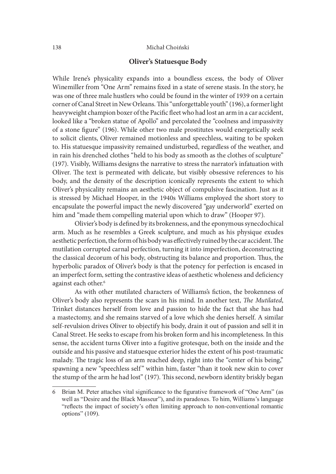## Oliver's Statuesque Body

While Irene's physicality expands into a boundless excess, the body of Oliver Winemiller from "One Arm" remains fixed in a state of serene stasis. In the story, he was one of three male hustlers who could be found in the winter of 1939 on a certain corner of Canal Street in New Orleans. This "unforgettable youth" (196), a former light heavyweight champion boxer of the Pacific fleet who had lost an arm in a car accident, looked like a "broken statue of Apollo" and percolated the "coolness and impassivity of a stone figure" (196). While other two male prostitutes would energetically seek to solicit clients, Oliver remained motionless and speechless, waiting to be spoken to. His statuesque impassivity remained undisturbed, regardless of the weather, and in rain his drenched clothes "held to his body as smooth as the clothes of sculpture" (197). Visibly, Williams designs the narrative to stress the narrator's infatuation with Oliver. The text is permeated with delicate, but visibly obsessive references to his body, and the density of the description iconically represents the extent to which Oliver's physicality remains an aesthetic object of compulsive fascination. Just as it is stressed by Michael Hooper, in the 1940s Williams employed the short story to encapsulate the powerful impact the newly discovered "gay underworld" exerted on him and "made them compelling material upon which to draw" (Hooper 97).

Olivier's body is defined by its brokenness, and the eponymous synecdochical arm. Much as he resembles a Greek sculpture, and much as his physique exudes aesthetic perfection, the form of his body was effectively ruined by the car accident. The mutilation corrupted carnal perfection, turning it into imperfection, deconstructing the classical decorum of his body, obstructing its balance and proportion. Thus, the hyperbolic paradox of Oliver's body is that the potency for perfection is encased in an imperfect form, setting the contrastive ideas of aesthetic wholeness and deficiency against each other.<sup>6</sup>

As with other mutilated characters of Williams's fiction, the brokenness of Oliver's body also represents the scars in his mind. In another text, The Mutilated, Trinket distances herself from love and passion to hide the fact that she has had a mastectomy, and she remains starved of a love which she denies herself. A similar self-revulsion drives Oliver to objectify his body, drain it out of passion and sell it in Canal Street. He seeks to escape from his broken form and his incompleteness. In this sense, the accident turns Oliver into a fugitive grotesque, both on the inside and the outside and his passive and statuesque exterior hides the extent of his post-traumatic malady. The tragic loss of an arm reached deep, right into the "center of his being," Trinket distances herself from love and passion to hide the fact that she has had<br>a mastectomy, and she remains starved of a love which she denies herself. A similar<br>self-revulsion drives Oliver to objectify his body, drai the stump of the arm he had lost" (197). This second, newborn identity briskly began

<sup>6</sup> Brian M. Peter attaches vital significance to the figurative framework of "One Arm" (as well as "Desire and the Black Masseur"), and its paradoxes. To him, Williams's language "reflects the impact of society's often limiting approach to non-conventional romantic options" (109).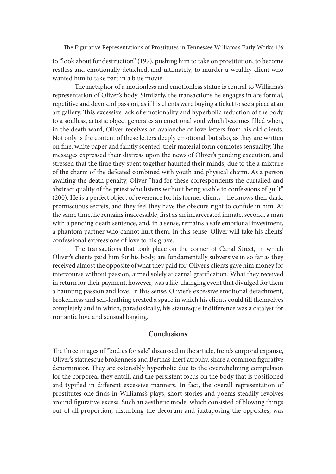to "look about for destruction" (197), pushing him to take on prostitution, to become restless and emotionally detached, and ultimately, to murder a wealthy client who wanted him to take part in a blue movie.

The metaphor of a motionless and emotionless statue is central to Williams's representation of Oliver's body. Similarly, the transactions he engages in are formal, repetitive and devoid of passion, as if his clients were buying a ticket to see a piece at an art gallery. This excessive lack of emotionality and hyperbolic reduction of the body to a soulless, artistic object generates an emotional void which becomes filled when, in the death ward, Oliver receives an avalanche of love letters from his old clients. Not only is the content of these letters deeply emotional, but also, as they are written on fine, white paper and faintly scented, their material form connotes sensuality. The messages expressed their distress upon the news of Oliver's pending execution, and stressed that the time they spent together haunted their minds, due to the a mixture of the charm of the defeated combined with youth and physical charm. As a person awaiting the death penalty, Oliver "had for these correspondents the curtailed and abstract quality of the priest who listens without being visible to confessions of guilt" (200). He is a perfect object of reverence for his former clients—he knows their dark, promiscuous secrets, and they feel they have the obscure right to confide in him. At the same time, he remains inaccessible, first as an incarcerated inmate, second, a man with a pending death sentence, and, in a sense, remains a safe emotional investment, a phantom partner who cannot hurt them. In this sense, Oliver will take his clients' confessional expressions of love to his grave.

The transactions that took place on the corner of Canal Street, in which Oliver's clients paid him for his body, are fundamentally subversive in so far as they received almost the opposite of what they paid for. Oliver's clients gave him money for intercourse without passion, aimed solely at carnal gratification. What they received in return for their payment, however, was a life-changing event that divulged for them a haunting passion and love. In this sense, Olivier's excessive emotional detachment, brokenness and self-loathing created a space in which his clients could fill themselves completely and in which, paradoxically, his statuesque indifference was a catalyst for romantic love and sensual longing.

## **Conclusions**

The three images of "bodies for sale" discussed in the article, Irene's corporal expanse, Oliver's statuesque brokenness and Bertha's inert atrophy, share a common figurative denominator. They are ostensibly hyperbolic due to the overwhelming compulsion for the corporeal they entail, and the persistent focus on the body that is positioned and typified in different excessive manners. In fact, the overall representation of prostitutes one finds in Williams's plays, short stories and poems steadily revolves around figurative excess. Such an aesthetic mode, which consisted of blowing things out of all proportion, disturbing the decorum and juxtaposing the opposites, was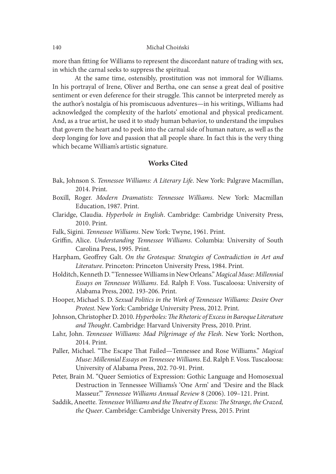more than fitting for Williams to represent the discordant nature of trading with sex, in which the carnal seeks to suppress the spiritual.

At the same time, ostensibly, prostitution was not immoral for Williams. In his portrayal of Irene, Oliver and Bertha, one can sense a great deal of positive sentiment or even deference for their struggle. This cannot be interpreted merely as the author's nostalgia of his promiscuous adventures—in his writings, Williams had acknowledged the complexity of the harlots' emotional and physical predicament. And, as a true artist, he used it to study human behavior, to understand the impulses that govern the heart and to peek into the carnal side of human nature, as well as the deep longing for love and passion that all people share. In fact this is the very thing which became William's artistic signature.

## Works Cited

- Bak, Johnson S. Tennessee Williams: A Literary Life. New York: Palgrave Macmillan, 2014. Print.
- Boxill, Roger. Modern Dramatists: Tennessee Williams. New York: Macmillan Education, 1987. Print.
- Claridge, Claudia. Hyperbole in English. Cambridge: Cambridge University Press, 2010. Print.
- Falk, Sigini. Tennessee Williams. New York: Twyne, 1961. Print.
- Griffin, Alice. Understanding Tennessee Williams. Columbia: University of South Carolina Press, 1995. Print.
- Harpham, Geoffrey Galt. On the Grotesque: Strategies of Contradiction in Art and Literature. Princeton: Princeton University Press, 1984. Print.
- Holditch, Kenneth D. "Tennessee Williams in New Orleans." Magical Muse: Millennial Essays on Tennessee Williams. Ed. Ralph F. Voss. Tuscaloosa: University of Alabama Press, 2002. 193-206. Print.
- Hooper, Michael S. D. Sexual Politics in the Work of Tennessee Williams: Desire Over Protest. New York: Cambridge University Press, 2012. Print.
- Johnson, Christopher D. 2010. Hyperboles: The Rhetoric of Excess in Baroque Literature and Thought. Cambridge: Harvard University Press, 2010. Print.
- Lahr, John. Tennessee Williams: Mad Pilgrimage of the Flesh. New York: Northon, 2014. Print.
- Paller, Michael. "The Escape That Failed—Tennessee and Rose Williams." Magical Muse: Millennial Essays on Tennessee Williams. Ed. Ralph F. Voss. Tuscaloosa: University of Alabama Press, 202. 70-91. Print.
- Peter, Brain M. "Queer Semiotics of Expression: Gothic Language and Homosexual Destruction in Tennessee Williams's 'One Arm' and 'Desire and the Black Masseur.'" Tennessee Williams Annual Review 8 (2006). 109–121. Print.
- Saddik, Aneette. Tennessee Williams and the Theatre of Excess: The Strange, the Crazed, the Queer. Cambridge: Cambridge University Press, 2015. Print